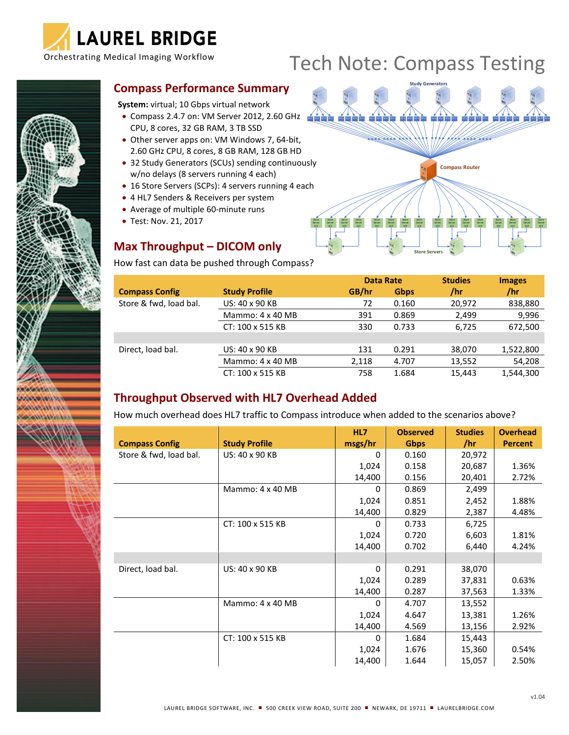

# Orchestrating Medical Imaging Workflow Tech Note: Compass Testing

#### **Compass Performance Summary**

**System:** virtual; 10 Gbps virtual network

- Compass 2.4.7 on: VM Server 2012, 2.60 GHz CPU, 8 cores, 32 GB RAM, 3 TB SSD
- Other server apps on: VM Windows 7, 64-bit, 2.60 GHz CPU, 8 cores, 8 GB RAM, 128 GB HD
- 32 Study Generators (SCUs) sending continuously w/no delays (8 servers running 4 each)
- 16 Store Servers (SCPs): 4 servers running 4 each
- 4 HL7 Senders & Receivers per system
- Average of multiple 60-minute runs
- Test: Nov. 21, 2017

**OCONSUMING MARQ IOWAY MANAGEMENT AND THE Comment of Comments of the Comments** 

# **Max Throughput – DICOM only**

How fast can data be pushed through Compass?



|                        |                      |       | <b>Data Rate</b> | <b>Studies</b> | <b>Images</b> |  |
|------------------------|----------------------|-------|------------------|----------------|---------------|--|
| <b>Compass Config</b>  | <b>Study Profile</b> | GB/hr | Gbps             | /hr            | /hr           |  |
| Store & fwd, load bal. | US: 40 x 90 KB       | 72    | 0.160            | 20,972         | 838,880       |  |
|                        | Mammo: 4 x 40 MB     | 391   | 0.869            | 2,499          | 9,996         |  |
|                        | CT: 100 x 515 KB     | 330   | 0.733            | 6.725          | 672,500       |  |
|                        |                      |       |                  |                |               |  |
| Direct, load bal.      | US: 40 x 90 KB       | 131   | 0.291            | 38,070         | 1,522,800     |  |
|                        | Mammo: 4 x 40 MB     | 2,118 | 4.707            | 13,552         | 54,208        |  |
|                        | CT: 100 x 515 KB     | 758   | 1.684            | 15,443         | 1,544,300     |  |

## **Throughput Observed with HL7 Overhead Added**

How much overhead does HL7 traffic to Compass introduce when added to the scenarios above?

|                        |                      | HL7      | <b>Observed</b> | <b>Studies</b> | <b>Overhead</b> |
|------------------------|----------------------|----------|-----------------|----------------|-----------------|
| <b>Compass Config</b>  | <b>Study Profile</b> | msgs/hr  | <b>Gbps</b>     | /hr            | <b>Percent</b>  |
| Store & fwd, load bal. | US: 40 x 90 KB       | 0        | 0.160           | 20,972         |                 |
|                        |                      | 1,024    | 0.158           | 20,687         | 1.36%           |
|                        |                      | 14,400   | 0.156           | 20,401         | 2.72%           |
|                        | Mammo: 4 x 40 MB     | 0        | 0.869           | 2,499          |                 |
|                        |                      | 1,024    | 0.851           | 2,452          | 1.88%           |
|                        |                      | 14,400   | 0.829           | 2,387          | 4.48%           |
|                        | CT: 100 x 515 KB     | 0        | 0.733           | 6,725          |                 |
|                        |                      | 1,024    | 0.720           | 6,603          | 1.81%           |
|                        |                      | 14,400   | 0.702           | 6,440          | 4.24%           |
|                        |                      |          |                 |                |                 |
| Direct, load bal.      | US: 40 x 90 KB       | $\Omega$ | 0.291           | 38,070         |                 |
|                        |                      | 1,024    | 0.289           | 37,831         | 0.63%           |
|                        |                      | 14,400   | 0.287           | 37,563         | 1.33%           |
|                        | Mammo: 4 x 40 MB     | $\Omega$ | 4.707           | 13,552         |                 |
|                        |                      | 1,024    | 4.647           | 13,381         | 1.26%           |
|                        |                      | 14,400   | 4.569           | 13,156         | 2.92%           |
|                        | CT: 100 x 515 KB     | 0        | 1.684           | 15,443         |                 |
|                        |                      | 1,024    | 1.676           | 15,360         | 0.54%           |
|                        |                      | 14,400   | 1.644           | 15,057         | 2.50%           |